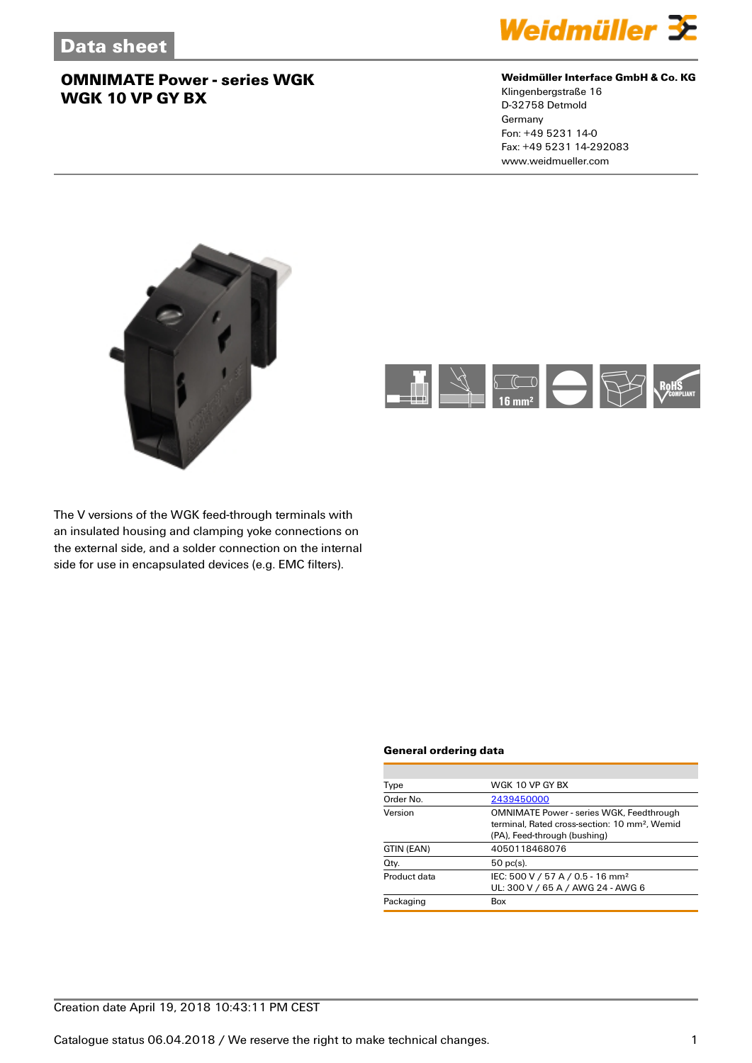

#### **Weidmüller Interface GmbH & Co. KG**

Klingenbergstraße 16 D-32758 Detmold **Germany** Fon: +49 5231 14-0 Fax: +49 5231 14-292083 www.weidmueller.com





The V versions of the WGK feed-through terminals with an insulated housing and clamping yoke connections on the external side, and a solder connection on the internal side for use in encapsulated devices (e.g. EMC filters).

#### **General ordering data**

| Type         | WGK 10 VP GY BX                                                                                                                              |  |
|--------------|----------------------------------------------------------------------------------------------------------------------------------------------|--|
| Order No.    | 2439450000                                                                                                                                   |  |
| Version      | <b>OMNIMATE Power - series WGK, Feedthrough</b><br>terminal, Rated cross-section: 10 mm <sup>2</sup> , Wemid<br>(PA), Feed-through (bushing) |  |
| GTIN (EAN)   | 4050118468076                                                                                                                                |  |
| Qty.         | $50$ pc(s).                                                                                                                                  |  |
| Product data | IEC: 500 V / 57 A / 0.5 - 16 mm <sup>2</sup><br>UL: 300 V / 65 A / AWG 24 - AWG 6                                                            |  |
| Packaging    | Box                                                                                                                                          |  |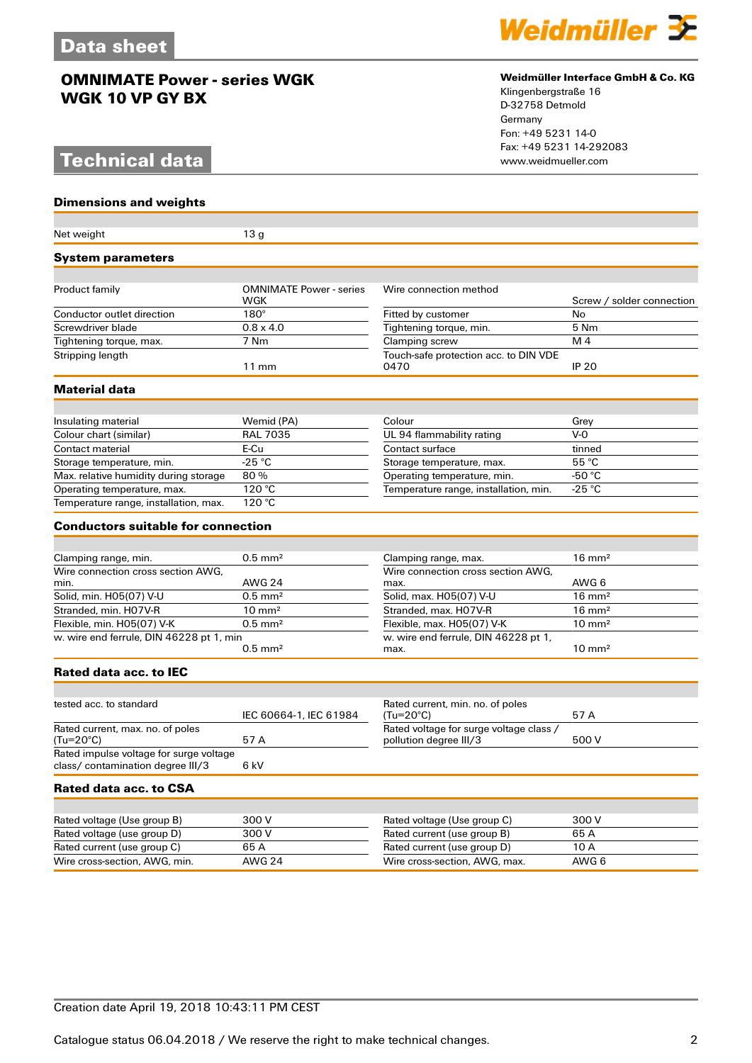# **Technical data**

**Dimensions and weights**



#### **Weidmüller Interface GmbH & Co. KG**

Klingenbergstraße 16 D-32758 Detmold Germany Fon: +49 5231 14-0 Fax: +49 5231 14-292083

| Net weight                                                                   | 13 <sub>g</sub>                |                                                                   |                           |  |  |
|------------------------------------------------------------------------------|--------------------------------|-------------------------------------------------------------------|---------------------------|--|--|
| <b>System parameters</b>                                                     |                                |                                                                   |                           |  |  |
| Product family                                                               | <b>OMNIMATE Power - series</b> | Wire connection method                                            |                           |  |  |
|                                                                              | WGK                            |                                                                   | Screw / solder connection |  |  |
| Conductor outlet direction                                                   | $180^\circ$                    | Fitted by customer                                                | No                        |  |  |
| Screwdriver blade                                                            | $0.8 \times 4.0$               | Tightening torque, min.                                           | 5 Nm                      |  |  |
| Tightening torque, max.                                                      | 7 Nm                           | Clamping screw                                                    | M 4                       |  |  |
| Stripping length                                                             | $11 \,\mathrm{mm}$             | Touch-safe protection acc. to DIN VDE<br>0470                     | <b>IP 20</b>              |  |  |
| <b>Material data</b>                                                         |                                |                                                                   |                           |  |  |
|                                                                              |                                |                                                                   |                           |  |  |
| Insulating material                                                          | Wemid (PA)                     | Colour                                                            | Grey                      |  |  |
| Colour chart (similar)                                                       | <b>RAL 7035</b>                | UL 94 flammability rating                                         | $V-0$                     |  |  |
| Contact material                                                             | E-Cu                           | Contact surface                                                   | tinned                    |  |  |
| Storage temperature, min.                                                    | $-25 °C$                       | Storage temperature, max.                                         | 55 °C                     |  |  |
| Max. relative humidity during storage                                        | 80%                            | Operating temperature, min.                                       | -50 $^{\circ}$ C          |  |  |
| Operating temperature, max.                                                  | 120 °C                         | Temperature range, installation, min.                             | $-25 °C$                  |  |  |
| Temperature range, installation, max.                                        | 120 °C                         |                                                                   |                           |  |  |
| <b>Conductors suitable for connection</b>                                    |                                |                                                                   |                           |  |  |
|                                                                              |                                |                                                                   |                           |  |  |
| Clamping range, min.                                                         | $0.5$ mm <sup>2</sup>          | Clamping range, max.                                              | $16 \text{ mm}^2$         |  |  |
| Wire connection cross section AWG.                                           |                                | Wire connection cross section AWG,                                |                           |  |  |
| min.                                                                         | <b>AWG 24</b>                  | max.                                                              | AWG 6                     |  |  |
| Solid, min. H05(07) V-U                                                      | $0.5$ mm <sup>2</sup>          | Solid, max. H05(07) V-U                                           | $16 \text{ mm}^2$         |  |  |
| Stranded, min. H07V-R                                                        | $10 \text{ mm}^2$              | Stranded, max. H07V-R                                             | $16 \text{ mm}^2$         |  |  |
| Flexible, min. H05(07) V-K                                                   | $0.5$ mm <sup>2</sup>          | Flexible, max. H05(07) V-K                                        | $10 \text{ mm}^2$         |  |  |
| w. wire end ferrule, DIN 46228 pt 1, min                                     | $0.5$ mm <sup>2</sup>          | w. wire end ferrule, DIN 46228 pt 1,<br>max.                      | $10 \text{ mm}^2$         |  |  |
| Rated data acc. to IEC                                                       |                                |                                                                   |                           |  |  |
|                                                                              |                                |                                                                   |                           |  |  |
| tested acc. to standard                                                      | IEC 60664-1, IEC 61984         | Rated current, min. no. of poles<br>(Tu=20°C)                     | 57 A                      |  |  |
| Rated current, max. no. of poles<br>(Tu=20°C)                                | 57 A                           | Rated voltage for surge voltage class /<br>pollution degree III/3 | 500 V                     |  |  |
| Rated impulse voltage for surge voltage<br>class/ contamination degree III/3 | 6 kV                           |                                                                   |                           |  |  |
| Rated data acc. to CSA                                                       |                                |                                                                   |                           |  |  |
|                                                                              |                                |                                                                   |                           |  |  |
| Rated voltage (Use group B)                                                  | 300 V                          | Rated voltage (Use group C)                                       | 300 V                     |  |  |
| Rated voltage (use group D)                                                  | 300V                           | Rated current (use group B)                                       | 65 A                      |  |  |
| Rated current (use group C)                                                  | 65 A                           | Rated current (use group D)                                       | 10 A                      |  |  |
| Wire cross-section, AWG, min.                                                | <b>AWG 24</b>                  | Wire cross-section, AWG, max.                                     | AWG 6                     |  |  |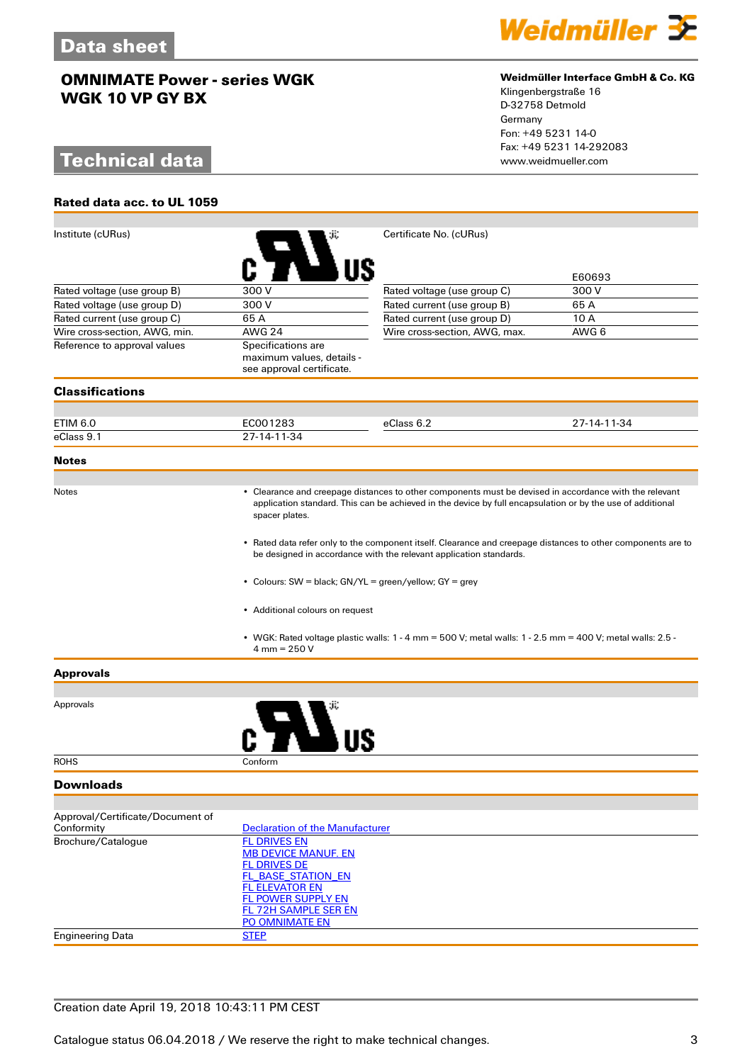# **Technical data**

**Rated data acc. to UL 1059**



### **Weidmüller Interface GmbH & Co. KG**

Klingenbergstraße 16 D-32758 Detmold Germany Fon: +49 5231 14-0 Fax: +49 5231 14-292083

| Institute (cURus)                |                                                                                                                                                                                                                                        | Certificate No. (cURus)                                                                                       |                 |  |  |
|----------------------------------|----------------------------------------------------------------------------------------------------------------------------------------------------------------------------------------------------------------------------------------|---------------------------------------------------------------------------------------------------------------|-----------------|--|--|
|                                  |                                                                                                                                                                                                                                        |                                                                                                               |                 |  |  |
|                                  |                                                                                                                                                                                                                                        |                                                                                                               |                 |  |  |
| Rated voltage (use group B)      | 300 V                                                                                                                                                                                                                                  | Rated voltage (use group C)                                                                                   | E60693<br>300 V |  |  |
| Rated voltage (use group D)      | 300 V                                                                                                                                                                                                                                  | Rated current (use group B)                                                                                   | 65 A            |  |  |
| Rated current (use group C)      | 65 A                                                                                                                                                                                                                                   | Rated current (use group D)                                                                                   | 10 A            |  |  |
| Wire cross-section, AWG, min.    | <b>AWG 24</b>                                                                                                                                                                                                                          | Wire cross-section, AWG, max.                                                                                 | AWG 6           |  |  |
| Reference to approval values     | Specifications are                                                                                                                                                                                                                     |                                                                                                               |                 |  |  |
|                                  | maximum values, details -<br>see approval certificate.                                                                                                                                                                                 |                                                                                                               |                 |  |  |
| <b>Classifications</b>           |                                                                                                                                                                                                                                        |                                                                                                               |                 |  |  |
| <b>ETIM 6.0</b>                  | EC001283                                                                                                                                                                                                                               | eClass 6.2                                                                                                    | 27-14-11-34     |  |  |
| eClass 9.1                       | 27-14-11-34                                                                                                                                                                                                                            |                                                                                                               |                 |  |  |
| <b>Notes</b>                     |                                                                                                                                                                                                                                        |                                                                                                               |                 |  |  |
|                                  |                                                                                                                                                                                                                                        |                                                                                                               |                 |  |  |
| <b>Notes</b>                     | • Clearance and creepage distances to other components must be devised in accordance with the relevant<br>application standard. This can be achieved in the device by full encapsulation or by the use of additional<br>spacer plates. |                                                                                                               |                 |  |  |
|                                  | • Rated data refer only to the component itself. Clearance and creepage distances to other components are to<br>be designed in accordance with the relevant application standards.                                                     |                                                                                                               |                 |  |  |
|                                  | • Colours: SW = black; GN/YL = green/yellow; GY = grey                                                                                                                                                                                 |                                                                                                               |                 |  |  |
|                                  | • Additional colours on request                                                                                                                                                                                                        |                                                                                                               |                 |  |  |
|                                  | $4 \text{ mm} = 250 \text{ V}$                                                                                                                                                                                                         | • WGK: Rated voltage plastic walls: $1 - 4$ mm = 500 V; metal walls: $1 - 2.5$ mm = 400 V; metal walls: 2.5 - |                 |  |  |
| <b>Approvals</b>                 |                                                                                                                                                                                                                                        |                                                                                                               |                 |  |  |
|                                  |                                                                                                                                                                                                                                        |                                                                                                               |                 |  |  |
| Approvals                        |                                                                                                                                                                                                                                        |                                                                                                               |                 |  |  |
|                                  |                                                                                                                                                                                                                                        |                                                                                                               |                 |  |  |
|                                  |                                                                                                                                                                                                                                        |                                                                                                               |                 |  |  |
| <b>ROHS</b>                      | Conform                                                                                                                                                                                                                                |                                                                                                               |                 |  |  |
| <b>Downloads</b>                 |                                                                                                                                                                                                                                        |                                                                                                               |                 |  |  |
|                                  |                                                                                                                                                                                                                                        |                                                                                                               |                 |  |  |
| Approval/Certificate/Document of |                                                                                                                                                                                                                                        |                                                                                                               |                 |  |  |
| Conformity                       | <b>Declaration of the Manufacturer</b><br>FL DRIVES EN                                                                                                                                                                                 |                                                                                                               |                 |  |  |
| Brochure/Catalogue               | <b>MB DEVICE MANUF. EN</b>                                                                                                                                                                                                             |                                                                                                               |                 |  |  |
|                                  | <b>FL DRIVES DE</b>                                                                                                                                                                                                                    |                                                                                                               |                 |  |  |
|                                  | <b>FL BASE STATION EN</b><br><b>FL ELEVATOR EN</b>                                                                                                                                                                                     |                                                                                                               |                 |  |  |
|                                  | FL POWER SUPPLY EN                                                                                                                                                                                                                     |                                                                                                               |                 |  |  |
|                                  | FL 72H SAMPLE SER EN                                                                                                                                                                                                                   |                                                                                                               |                 |  |  |
|                                  | PO OMNIMATE EN                                                                                                                                                                                                                         |                                                                                                               |                 |  |  |
| <b>Engineering Data</b>          | <b>STEP</b>                                                                                                                                                                                                                            |                                                                                                               |                 |  |  |

## Creation date April 19, 2018 10:43:11 PM CEST

Catalogue status 06.04.2018 / We reserve the right to make technical changes. 33